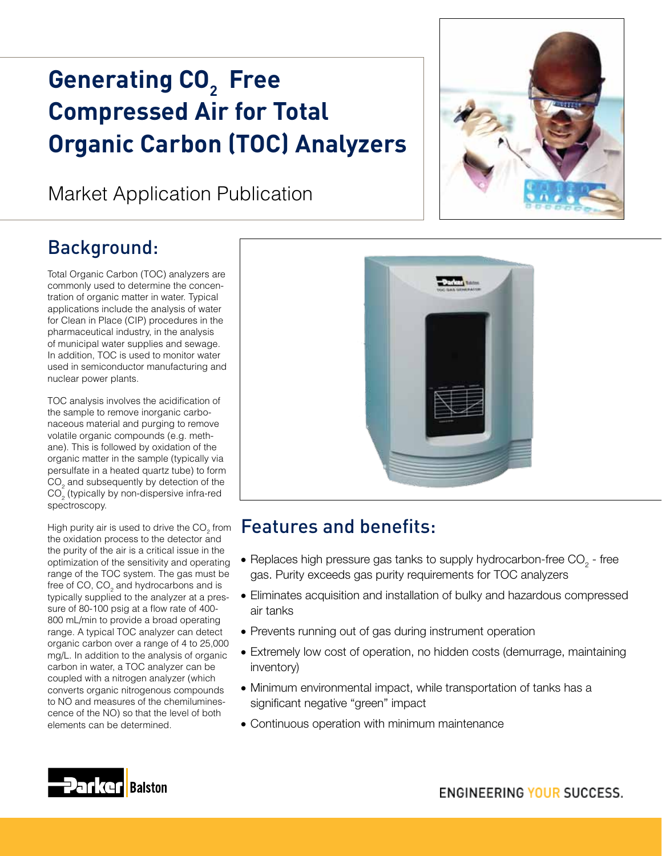# Generating CO<sub>2</sub> Free **Compressed Air for Total Organic Carbon (TOC) Analyzers**

# Market Application Publication

# Background:

Total Organic Carbon (TOC) analyzers are commonly used to determine the concentration of organic matter in water. Typical applications include the analysis of water for Clean in Place (CIP) procedures in the pharmaceutical industry, in the analysis of municipal water supplies and sewage. In addition, TOC is used to monitor water used in semiconductor manufacturing and nuclear power plants.

TOC analysis involves the acidification of the sample to remove inorganic carbonaceous material and purging to remove volatile organic compounds (e.g. methane). This is followed by oxidation of the organic matter in the sample (typically via persulfate in a heated quartz tube) to form  $\mathrm{CO}_2$  and subsequently by detection of the  $\mathsf{CO}_2^{\phantom{\dagger}}$  (typically by non-dispersive infra-red spectroscopy.

High purity air is used to drive the CO<sub>2</sub> from the oxidation process to the detector and the purity of the air is a critical issue in the optimization of the sensitivity and operating range of the TOC system. The gas must be free of CO, CO<sub>2</sub> and hydrocarbons and is typically supplied to the analyzer at a pressure of 80-100 psig at a flow rate of 400- 800 mL/min to provide a broad operating range. A typical TOC analyzer can detect organic carbon over a range of 4 to 25,000 mg/L. In addition to the analysis of organic carbon in water, a TOC analyzer can be coupled with a nitrogen analyzer (which converts organic nitrogenous compounds to NO and measures of the chemiluminescence of the NO) so that the level of both elements can be determined.



### Features and benefits:

- $\bullet$  Replaces high pressure gas tanks to supply hydrocarbon-free CO<sub>2</sub> free gas. Purity exceeds gas purity requirements for TOC analyzers
- Eliminates acquisition and installation of bulky and hazardous compressed air tanks
- Prevents running out of gas during instrument operation
- Extremely low cost of operation, no hidden costs (demurrage, maintaining inventory)
- Minimum environmental impact, while transportation of tanks has a significant negative "green" impact
- Continuous operation with minimum maintenance

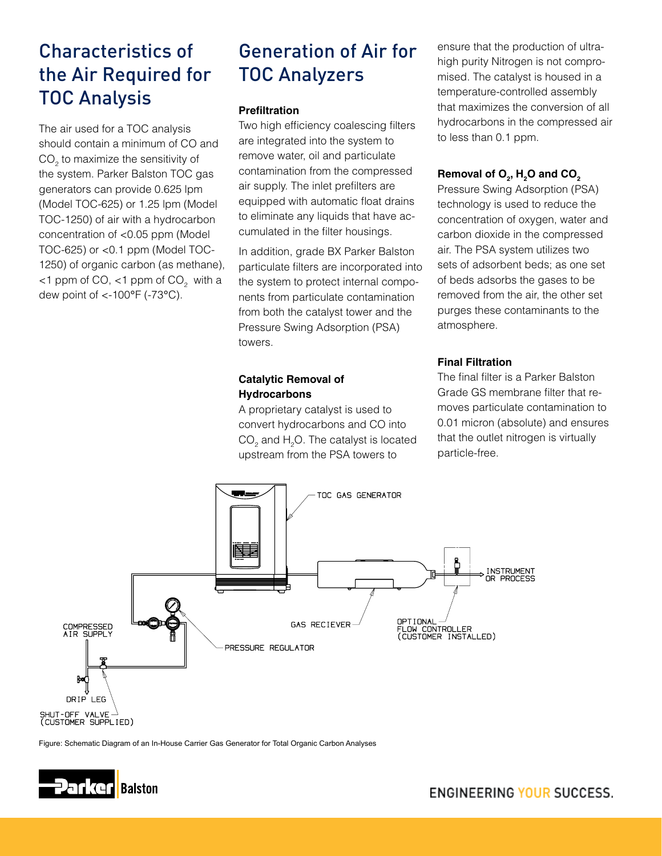# Characteristics of the Air Required for TOC Analysis

The air used for a TOC analysis should contain a minimum of CO and  $\mathrm{CO}_2^{\phantom{\dag}}$  to maximize the sensitivity of the system. Parker Balston TOC gas generators can provide 0.625 lpm (Model TOC-625) or 1.25 lpm (Model TOC-1250) of air with a hydrocarbon concentration of <0.05 ppm (Model TOC-625) or <0.1 ppm (Model TOC-1250) of organic carbon (as methane),  $<$ 1 ppm of CO,  $<$ 1 ppm of CO<sub>2</sub> with a dew point of <-100°F (-73°C).

## Generation of Air for TOC Analyzers

#### **Prefiltration**

Two high efficiency coalescing filters are integrated into the system to remove water, oil and particulate contamination from the compressed air supply. The inlet prefilters are equipped with automatic float drains to eliminate any liquids that have accumulated in the filter housings.

In addition, grade BX Parker Balston particulate filters are incorporated into the system to protect internal components from particulate contamination from both the catalyst tower and the Pressure Swing Adsorption (PSA) towers.

#### **Catalytic Removal of Hydrocarbons**

A proprietary catalyst is used to convert hydrocarbons and CO into  $\mathsf{CO}_2$  and  $\mathsf{H}_2\mathsf{O}$ . The catalyst is located upstream from the PSA towers to

ensure that the production of ultrahigh purity Nitrogen is not compromised. The catalyst is housed in a temperature-controlled assembly that maximizes the conversion of all hydrocarbons in the compressed air to less than 0.1 ppm.

#### $\mathsf{Removal}$  of  $\mathsf{O}_2^{}, \mathsf{H}_2^{}\mathsf{O}$  and  $\mathsf{CO}_2^{}$

Pressure Swing Adsorption (PSA) technology is used to reduce the concentration of oxygen, water and carbon dioxide in the compressed air. The PSA system utilizes two sets of adsorbent beds; as one set of beds adsorbs the gases to be removed from the air, the other set purges these contaminants to the atmosphere.

#### **Final Filtration**

The final filter is a Parker Balston Grade GS membrane filter that removes particulate contamination to 0.01 micron (absolute) and ensures that the outlet nitrogen is virtually particle-free.



Figure: Schematic Diagram of an In-House Carrier Gas Generator for Total Organic Carbon Analyses

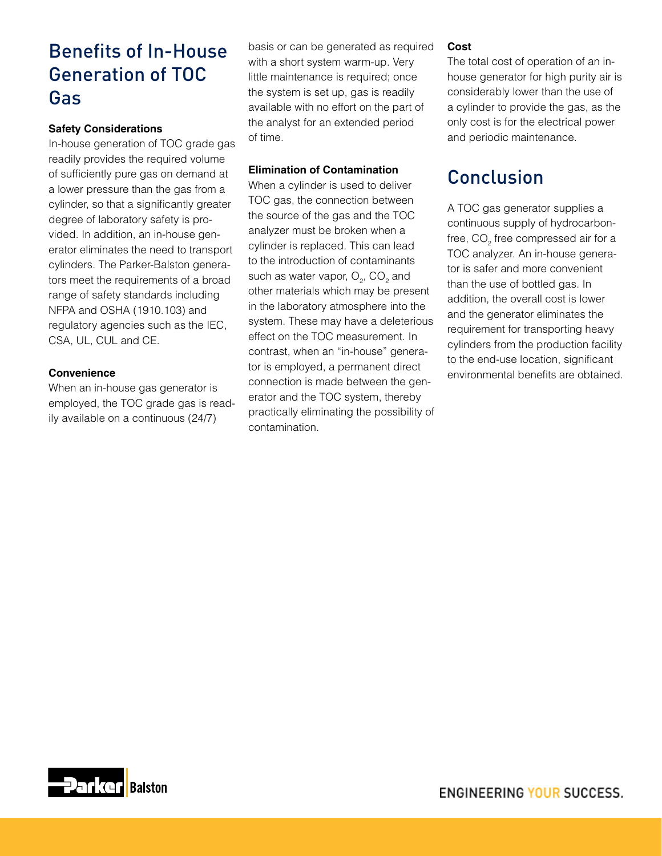### Benefits of In-House Generation of TOC Gas

#### **Safety Considerations**

In-house generation of TOC grade gas readily provides the required volume of sufficiently pure gas on demand at a lower pressure than the gas from a cylinder, so that a significantly greater degree of laboratory safety is provided. In addition, an in-house generator eliminates the need to transport cylinders. The Parker-Balston generators meet the requirements of a broad range of safety standards including NFPA and OSHA (1910.103) and regulatory agencies such as the IEC, CSA, UL, CUL and CE.

#### **Convenience**

When an in-house gas generator is employed, the TOC grade gas is readily available on a continuous (24/7)

basis or can be generated as required with a short system warm-up. Very little maintenance is required; once the system is set up, gas is readily available with no effort on the part of the analyst for an extended period of time.

#### **Elimination of Contamination**

When a cylinder is used to deliver TOC gas, the connection between the source of the gas and the TOC analyzer must be broken when a cylinder is replaced. This can lead to the introduction of contaminants such as water vapor,  $O_2$ ,  $CO_2$  and other materials which may be present in the laboratory atmosphere into the system. These may have a deleterious effect on the TOC measurement. In contrast, when an "in-house" generator is employed, a permanent direct connection is made between the generator and the TOC system, thereby practically eliminating the possibility of contamination.

#### **Cost**

The total cost of operation of an inhouse generator for high purity air is considerably lower than the use of a cylinder to provide the gas, as the only cost is for the electrical power and periodic maintenance.

### Conclusion

A TOC gas generator supplies a continuous supply of hydrocarbonfree, CO<sub>2</sub> free compressed air for a TOC analyzer. An in-house generator is safer and more convenient than the use of bottled gas. In addition, the overall cost is lower and the generator eliminates the requirement for transporting heavy cylinders from the production facility to the end-use location, significant environmental benefits are obtained.